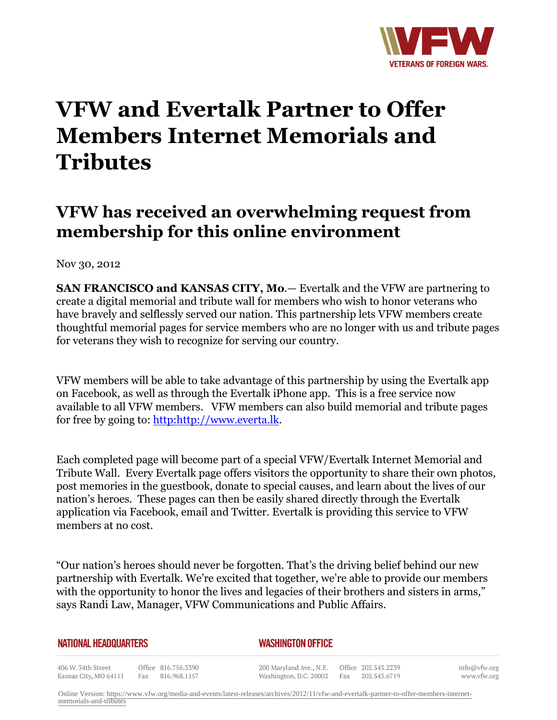

## **VFW and Evertalk Partner to Offer Members Internet Memorials and Tributes**

## **VFW has received an overwhelming request from membership for this online environment**

Nov 30, 2012

**SAN FRANCISCO and KANSAS CITY, Mo**.— Evertalk and the VFW are partnering to create a digital memorial and tribute wall for members who wish to honor veterans who have bravely and selflessly served our nation. This partnership lets VFW members create thoughtful memorial pages for service members who are no longer with us and tribute pages for veterans they wish to recognize for serving our country.

VFW members will be able to take advantage of this partnership by using the Evertalk app on Facebook, as well as through the Evertalk iPhone app. This is a free service now available to all VFW members. VFW members can also build memorial and tribute pages for free by going to: [http:http://www.everta.lk.](http:http://www.everta.lk/)

Each completed page will become part of a special VFW/Evertalk Internet Memorial and Tribute Wall. Every Evertalk page offers visitors the opportunity to share their own photos, post memories in the guestbook, donate to special causes, and learn about the lives of our nation's heroes. These pages can then be easily shared directly through the Evertalk application via Facebook, email and Twitter. Evertalk is providing this service to VFW members at no cost.

"Our nation's heroes should never be forgotten. That's the driving belief behind our new partnership with Evertalk. We're excited that together, we're able to provide our members with the opportunity to honor the lives and legacies of their brothers and sisters in arms," says Randi Law, Manager, VFW Communications and Public Affairs.

| NATIONAL HEADQUARTERS                       |  |                                         | <b>WASHINGTON OFFICE</b> |                                                                       |  |                  |  |
|---------------------------------------------|--|-----------------------------------------|--------------------------|-----------------------------------------------------------------------|--|------------------|--|
| 406 W. 34th Street<br>Kansas City, MO 64111 |  | Office 816.756.3390<br>Fax 816.968.1157 |                          | 200 Maryland Ave., N.E. Office 202.543.2239<br>Washington, D.C. 20002 |  | Fax 202.543.6719 |  |

info@vfw.org www.vfw.org

Online Version: [https://www.vfw.org/media-and-events/latest-releases/archives/2012/11/vfw-and-evertalk-partner-to-offer-members-internet](https://www.vfw.org/media-and-events/latest-releases/archives/2012/11/vfw-and-evertalk-partner-to-offer-members-internet-memorials-and-tributes)[memorials-and-tributes](https://www.vfw.org/media-and-events/latest-releases/archives/2012/11/vfw-and-evertalk-partner-to-offer-members-internet-memorials-and-tributes)